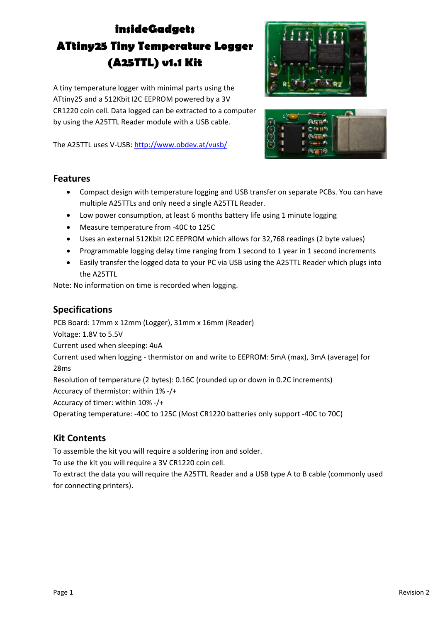# **insideGadgets ATtiny25 Tiny Temperature Logger (A25TTL) v1.1 Kit**

A tiny temperature logger with minimal parts using the ATtiny25 and a 512Kbit I2C EEPROM powered by a 3V CR1220 coin cell. Data logged can be extracted to a computer by using the A25TTL Reader module with a USB cable.

The A25TTL uses V‐USB: http://www.obdev.at/vusb/





#### **Features**

- Compact design with temperature logging and USB transfer on separate PCBs. You can have multiple A25TTLs and only need a single A25TTL Reader.
- Low power consumption, at least 6 months battery life using 1 minute logging
- Measure temperature from ‐40C to 125C
- Uses an external 512Kbit I2C EEPROM which allows for 32,768 readings (2 byte values)
- Programmable logging delay time ranging from 1 second to 1 year in 1 second increments
- Easily transfer the logged data to your PC via USB using the A25TTL Reader which plugs into the A25TTL

Note: No information on time is recorded when logging.

#### **Specifications**

PCB Board: 17mm x 12mm (Logger), 31mm x 16mm (Reader) Voltage: 1.8V to 5.5V Current used when sleeping: 4uA Current used when logging ‐ thermistor on and write to EEPROM: 5mA (max), 3mA (average) for 28ms Resolution of temperature (2 bytes): 0.16C (rounded up or down in 0.2C increments) Accuracy of thermistor: within 1% ‐/+ Accuracy of timer: within 10% ‐/+ Operating temperature: ‐40C to 125C (Most CR1220 batteries only support ‐40C to 70C)

## **Kit Contents**

To assemble the kit you will require a soldering iron and solder.

To use the kit you will require a 3V CR1220 coin cell.

To extract the data you will require the A25TTL Reader and a USB type A to B cable (commonly used for connecting printers).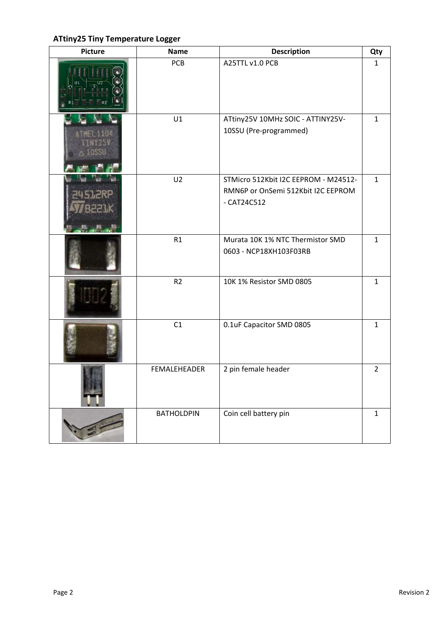## **ATtiny25 Tiny Temperature Logger**

| <b>Picture</b> | <b>Name</b>       | <b>Description</b>                                                                          | Qty            |
|----------------|-------------------|---------------------------------------------------------------------------------------------|----------------|
|                | PCB               | A25TTL v1.0 PCB                                                                             | 1              |
|                | U1                | ATtiny25V 10MHz SOIC - ATTINY25V-<br>10SSU (Pre-programmed)                                 | $\mathbf{1}$   |
|                | U <sub>2</sub>    | STMicro 512Kbit I2C EEPROM - M24512-<br>RMN6P or OnSemi 512Kbit I2C EEPROM<br>$-$ CAT24C512 | $\mathbf{1}$   |
|                | R1                | Murata 10K 1% NTC Thermistor SMD<br>0603 - NCP18XH103F03RB                                  | $\mathbf{1}$   |
|                | R <sub>2</sub>    | 10K 1% Resistor SMD 0805                                                                    | $\mathbf{1}$   |
|                | C1                | 0.1uF Capacitor SMD 0805                                                                    | $\mathbf{1}$   |
|                | FEMALEHEADER      | 2 pin female header                                                                         | $\overline{2}$ |
|                | <b>BATHOLDPIN</b> | Coin cell battery pin                                                                       | $\mathbf{1}$   |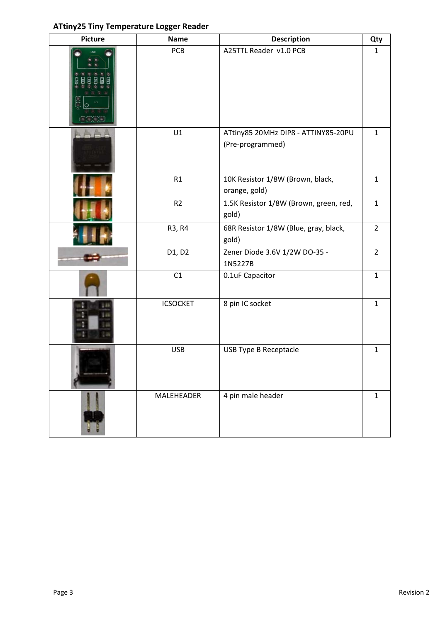#### **ATtiny25 Tiny Temperature Logger Reader**

| <b>Picture</b> | <b>Name</b>     | <b>Description</b>                                      | Qty            |
|----------------|-----------------|---------------------------------------------------------|----------------|
|                | PCB             | A25TTL Reader v1.0 PCB                                  | $\mathbf{1}$   |
|                | U1              | ATtiny85 20MHz DIP8 - ATTINY85-20PU<br>(Pre-programmed) | $\mathbf{1}$   |
|                | R1              | 10K Resistor 1/8W (Brown, black,<br>orange, gold)       | $\mathbf{1}$   |
|                | R <sub>2</sub>  | 1.5K Resistor 1/8W (Brown, green, red,<br>gold)         | $\mathbf{1}$   |
|                | R3, R4          | 68R Resistor 1/8W (Blue, gray, black,<br>gold)          | $\overline{2}$ |
|                | D1, D2          | Zener Diode 3.6V 1/2W DO-35 -<br>1N5227B                | $\overline{2}$ |
|                | C1              | 0.1uF Capacitor                                         | $\mathbf{1}$   |
|                | <b>ICSOCKET</b> | 8 pin IC socket                                         | $\mathbf{1}$   |
|                | <b>USB</b>      | USB Type B Receptacle                                   | $\mathbf{1}$   |
|                | MALEHEADER      | 4 pin male header                                       | $\mathbf{1}$   |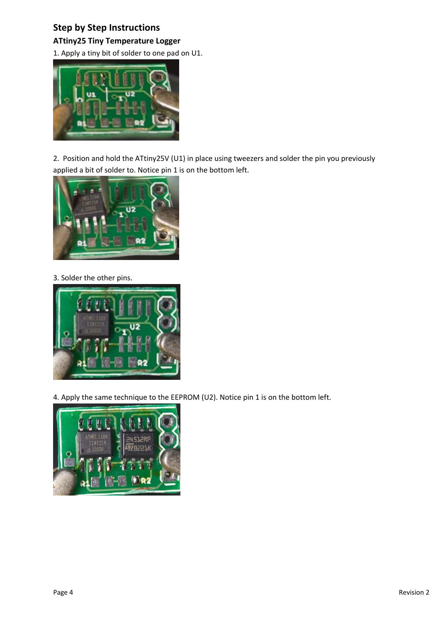## **Step by Step Instructions**

**ATtiny25 Tiny Temperature Logger**

1. Apply a tiny bit of solder to one pad on U1.



2. Position and hold the ATtiny25V (U1) in place using tweezers and solder the pin you previously applied a bit of solder to. Notice pin 1 is on the bottom left.



3. Solder the other pins.



4. Apply the same technique to the EEPROM (U2). Notice pin 1 is on the bottom left.

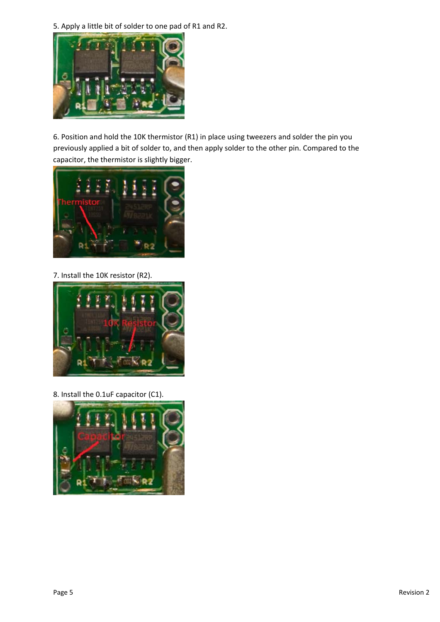5. Apply a little bit of solder to one pad of R1 and R2.



6. Position and hold the 10K thermistor (R1) in place using tweezers and solder the pin you previously applied a bit of solder to, and then apply solder to the other pin. Compared to the capacitor, the thermistor is slightly bigger.



7. Install the 10K resistor (R2).



8. Install the 0.1uF capacitor (C1).

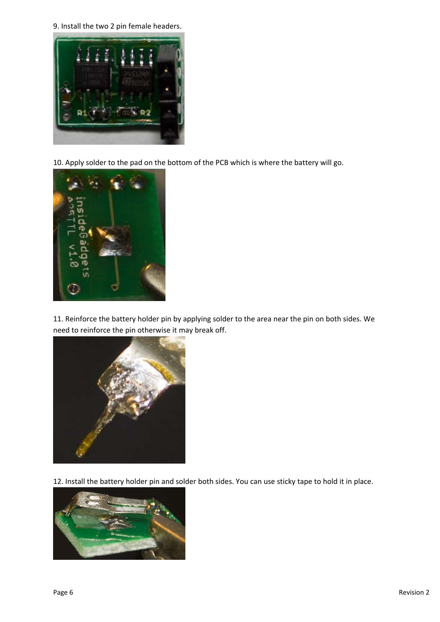9. Install the two 2 pin female headers.



10. Apply solder to the pad on the bottom of the PCB which is where the battery will go.



11. Reinforce the battery holder pin by applying solder to the area near the pin on both sides. We need to reinforce the pin otherwise it may break off.



12. Install the battery holder pin and solder both sides. You can use sticky tape to hold it in place.

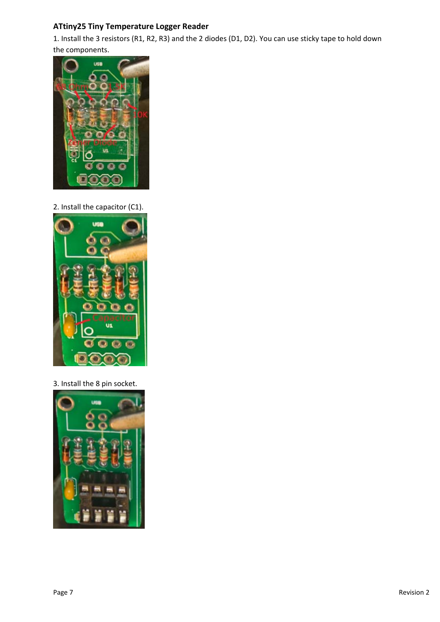## **ATtiny25 Tiny Temperature Logger Reader**

1. Install the 3 resistors (R1, R2, R3) and the 2 diodes (D1, D2). You can use sticky tape to hold down the components.



2. Install the capacitor (C1).



3. Install the 8 pin socket.

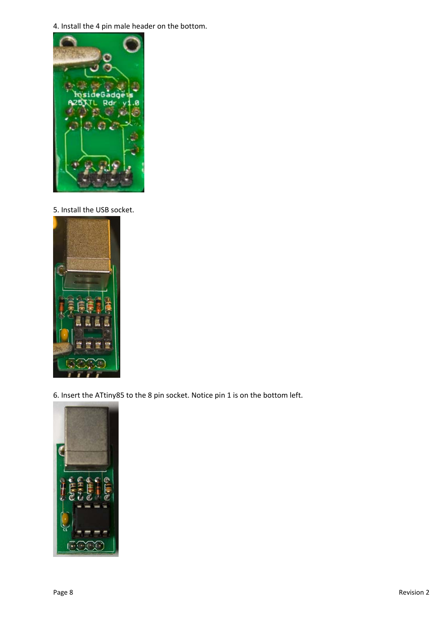4. Install the 4 pin male header on the bottom.



5. Install the USB socket.



6. Insert the ATtiny85 to the 8 pin socket. Notice pin 1 is on the bottom left.

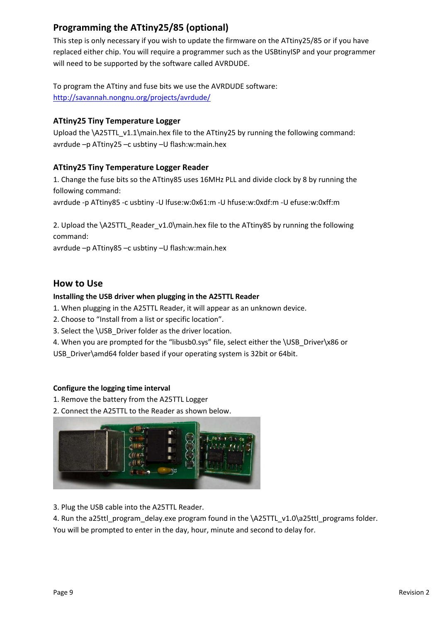# **Programming the ATtiny25/85 (optional)**

This step is only necessary if you wish to update the firmware on the ATtiny25/85 or if you have replaced either chip. You will require a programmer such as the USBtinyISP and your programmer will need to be supported by the software called AVRDUDE.

To program the ATtiny and fuse bits we use the AVRDUDE software: http://savannah.nongnu.org/projects/avrdude/

#### **ATtiny25 Tiny Temperature Logger**

Upload the \A25TTL\_v1.1\main.hex file to the ATtiny25 by running the following command: avrdude –p ATtiny25 –c usbtiny –U flash:w:main.hex

#### **ATtiny25 Tiny Temperature Logger Reader**

1. Change the fuse bits so the ATtiny85 uses 16MHz PLL and divide clock by 8 by running the following command:

avrdude ‐p ATtiny85 ‐c usbtiny ‐U lfuse:w:0x61:m ‐U hfuse:w:0xdf:m ‐U efuse:w:0xff:m

2. Upload the \A25TTL\_Reader\_v1.0\main.hex file to the ATtiny85 by running the following command:

avrdude –p ATtiny85 –c usbtiny –U flash:w:main.hex

## **How to Use**

#### **Installing the USB driver when plugging in the A25TTL Reader**

- 1. When plugging in the A25TTL Reader, it will appear as an unknown device.
- 2. Choose to "Install from a list or specific location".
- 3. Select the \USB\_Driver folder as the driver location.
- 4. When you are prompted for the "libusb0.sys" file, select either the \USB\_Driver\x86 or
- USB Driver\amd64 folder based if your operating system is 32bit or 64bit.

#### **Configure the logging time interval**

- 1. Remove the battery from the A25TTL Logger
- 2. Connect the A25TTL to the Reader as shown below.



3. Plug the USB cable into the A25TTL Reader.

4. Run the a25ttl\_program\_delay.exe program found in the \A25TTL\_v1.0\a25ttl\_programs folder. You will be prompted to enter in the day, hour, minute and second to delay for.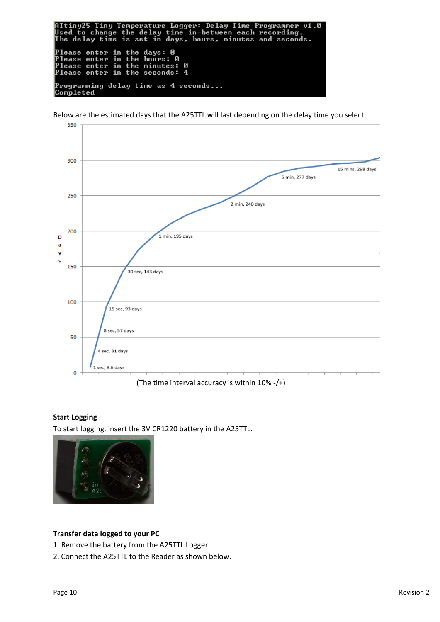ATtiny25 Tiny Temperature Logger: Delay Time Programmer v1<br>Used to change the delay time in—between each recording.<br>The delay time is set in days, hours, minutes and seconds.  $\overline{u1}$  .  $\overline{M}$ Please enter in the days: 0<br>Please enter in the hours: 0<br>Please enter in the minutes: Ø Please enter in the seconds:  $\overline{4}$ |<br>|Programming delay time as 4 seconds...<br>|Completed

Below are the estimated days that the A25TTL will last depending on the delay time you select.



(The time interval accuracy is within 10% ‐/+)

#### **Start Logging**

To start logging, insert the 3V CR1220 battery in the A25TTL.



#### **Transfer data logged to your PC**

1. Remove the battery from the A25TTL Logger

2. Connect the A25TTL to the Reader as shown below.